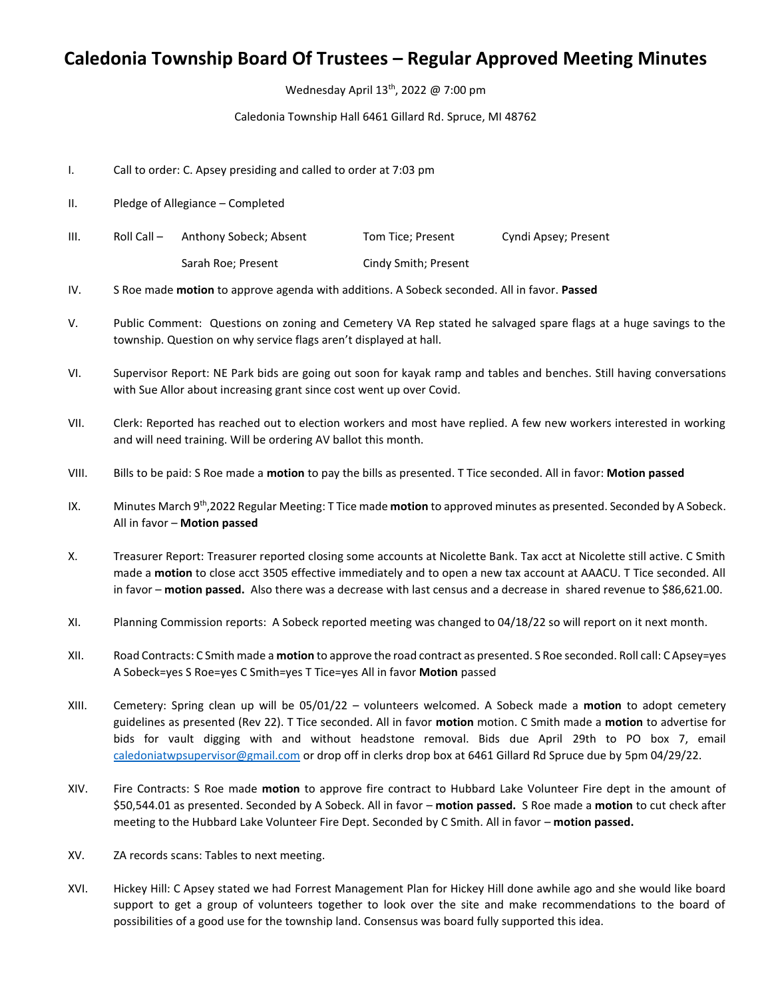## **Caledonia Township Board Of Trustees – Regular Approved Meeting Minutes**

Wednesday April 13<sup>th</sup>, 2022 @ 7:00 pm

Caledonia Township Hall 6461 Gillard Rd. Spruce, MI 48762

- I. Call to order: C. Apsey presiding and called to order at 7:03 pm
- II. Pledge of Allegiance Completed
- III. Roll Call Anthony Sobeck; Absent Tom Tice; Present Cyndi Apsey; Present Sarah Roe; Present Cindy Smith; Present
- IV. S Roe made **motion** to approve agenda with additions. A Sobeck seconded. All in favor. **Passed**
- V. Public Comment: Questions on zoning and Cemetery VA Rep stated he salvaged spare flags at a huge savings to the township. Question on why service flags aren't displayed at hall.
- VI. Supervisor Report: NE Park bids are going out soon for kayak ramp and tables and benches. Still having conversations with Sue Allor about increasing grant since cost went up over Covid.
- VII. Clerk: Reported has reached out to election workers and most have replied. A few new workers interested in working and will need training. Will be ordering AV ballot this month.
- VIII. Bills to be paid: S Roe made a **motion** to pay the bills as presented. T Tice seconded. All in favor: **Motion passed**
- IX. Minutes March 9<sup>th</sup>, 2022 Regular Meeting: T Tice made **motion** to approved minutes as presented. Seconded by A Sobeck. All in favor – **Motion passed**
- X. Treasurer Report: Treasurer reported closing some accounts at Nicolette Bank. Tax acct at Nicolette still active. C Smith made a **motion** to close acct 3505 effective immediately and to open a new tax account at AAACU. T Tice seconded. All in favor – **motion passed.** Also there was a decrease with last census and a decrease in shared revenue to \$86,621.00.
- XI. Planning Commission reports: A Sobeck reported meeting was changed to 04/18/22 so will report on it next month.
- XII. Road Contracts: C Smith made a **motion** to approve the road contract as presented. S Roe seconded. Roll call: C Apsey=yes A Sobeck=yes S Roe=yes C Smith=yes T Tice=yes All in favor **Motion** passed
- XIII. Cemetery: Spring clean up will be 05/01/22 volunteers welcomed. A Sobeck made a **motion** to adopt cemetery guidelines as presented (Rev 22). T Tice seconded. All in favor **motion** motion. C Smith made a **motion** to advertise for bids for vault digging with and without headstone removal. Bids due April 29th to PO box 7, email [caledoniatwpsupervisor@gmail.com](mailto:caledoniatwpsupervisor@gmail.com) or drop off in clerks drop box at 6461 Gillard Rd Spruce due by 5pm 04/29/22.
- XIV. Fire Contracts: S Roe made **motion** to approve fire contract to Hubbard Lake Volunteer Fire dept in the amount of \$50,544.01 as presented. Seconded by A Sobeck. All in favor – **motion passed.** S Roe made a **motion** to cut check after meeting to the Hubbard Lake Volunteer Fire Dept. Seconded by C Smith. All in favor – **motion passed.**
- XV. ZA records scans: Tables to next meeting.
- XVI. Hickey Hill: C Apsey stated we had Forrest Management Plan for Hickey Hill done awhile ago and she would like board support to get a group of volunteers together to look over the site and make recommendations to the board of possibilities of a good use for the township land. Consensus was board fully supported this idea.